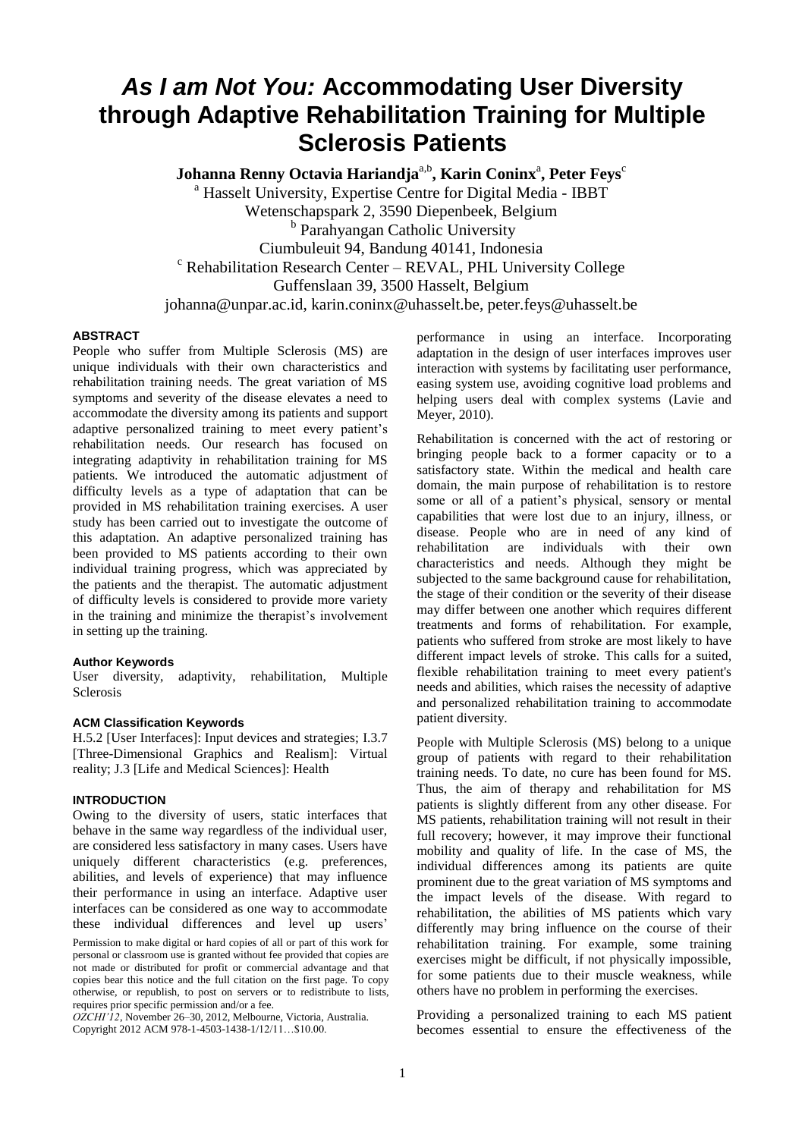# *As I am Not You:* **Accommodating User Diversity through Adaptive Rehabilitation Training for Multiple Sclerosis Patients**

Johanna Renny Octavia Hariandja<sup>a,b</sup>, Karin Coninx<sup>a</sup>, Peter Feys<sup>c</sup>

<sup>a</sup> Hasselt University, Expertise Centre for Digital Media - IBBT

Wetenschapspark 2, 3590 Diepenbeek, Belgium

**b** Parahyangan Catholic University

Ciumbuleuit 94, Bandung 40141, Indonesia

 $c$  Rehabilitation Research Center – REVAL, PHL University College

Guffenslaan 39, 3500 Hasselt, Belgium

johanna@unpar.ac.id, karin.coninx@uhasselt.be, peter.feys@uhasselt.be

# **ABSTRACT**

People who suffer from Multiple Sclerosis (MS) are unique individuals with their own characteristics and rehabilitation training needs. The great variation of MS symptoms and severity of the disease elevates a need to accommodate the diversity among its patients and support adaptive personalized training to meet every patient's rehabilitation needs. Our research has focused on integrating adaptivity in rehabilitation training for MS patients. We introduced the automatic adjustment of difficulty levels as a type of adaptation that can be provided in MS rehabilitation training exercises. A user study has been carried out to investigate the outcome of this adaptation. An adaptive personalized training has been provided to MS patients according to their own individual training progress, which was appreciated by the patients and the therapist. The automatic adjustment of difficulty levels is considered to provide more variety in the training and minimize the therapist's involvement in setting up the training.

# **Author Keywords**

User diversity, adaptivity, rehabilitation, Multiple Sclerosis

#### **ACM Classification Keywords**

H.5.2 [User Interfaces]: Input devices and strategies; I.3.7 [Three-Dimensional Graphics and Realism]: Virtual reality; J.3 [Life and Medical Sciences]: Health

#### **INTRODUCTION**

Owing to the diversity of users, static interfaces that behave in the same way regardless of the individual user, are considered less satisfactory in many cases. Users have uniquely different characteristics (e.g. preferences, abilities, and levels of experience) that may influence their performance in using an interface. Adaptive user interfaces can be considered as one way to accommodate these individual differences and level up users'

Permission to make digital or hard copies of all or part of this work for personal or classroom use is granted without fee provided that copies are not made or distributed for profit or commercial advantage and that copies bear this notice and the full citation on the first page. To copy otherwise, or republish, to post on servers or to redistribute to lists, requires prior specific permission and/or a fee.

*OZCHI'12*, November 26–30, 2012, Melbourne, Victoria, Australia. Copyright 2012 ACM 978-1-4503-1438-1/12/11…\$10.00.

performance in using an interface. Incorporating adaptation in the design of user interfaces improves user interaction with systems by facilitating user performance, easing system use, avoiding cognitive load problems and helping users deal with complex systems (Lavie and Meyer, 2010).

Rehabilitation is concerned with the act of restoring or bringing people back to a former capacity or to a satisfactory state. Within the medical and health care domain, the main purpose of rehabilitation is to restore some or all of a patient's physical, sensory or mental capabilities that were lost due to an injury, illness, or disease. People who are in need of any kind of rehabilitation are individuals with their own characteristics and needs. Although they might be subjected to the same background cause for rehabilitation, the stage of their condition or the severity of their disease may differ between one another which requires different treatments and forms of rehabilitation. For example, patients who suffered from stroke are most likely to have different impact levels of stroke. This calls for a suited, flexible rehabilitation training to meet every patient's needs and abilities, which raises the necessity of adaptive and personalized rehabilitation training to accommodate patient diversity.

People with Multiple Sclerosis (MS) belong to a unique group of patients with regard to their rehabilitation training needs. To date, no cure has been found for MS. Thus, the aim of therapy and rehabilitation for MS patients is slightly different from any other disease. For MS patients, rehabilitation training will not result in their full recovery; however, it may improve their functional mobility and quality of life. In the case of MS, the individual differences among its patients are quite prominent due to the great variation of MS symptoms and the impact levels of the disease. With regard to rehabilitation, the abilities of MS patients which vary differently may bring influence on the course of their rehabilitation training. For example, some training exercises might be difficult, if not physically impossible, for some patients due to their muscle weakness, while others have no problem in performing the exercises.

Providing a personalized training to each MS patient becomes essential to ensure the effectiveness of the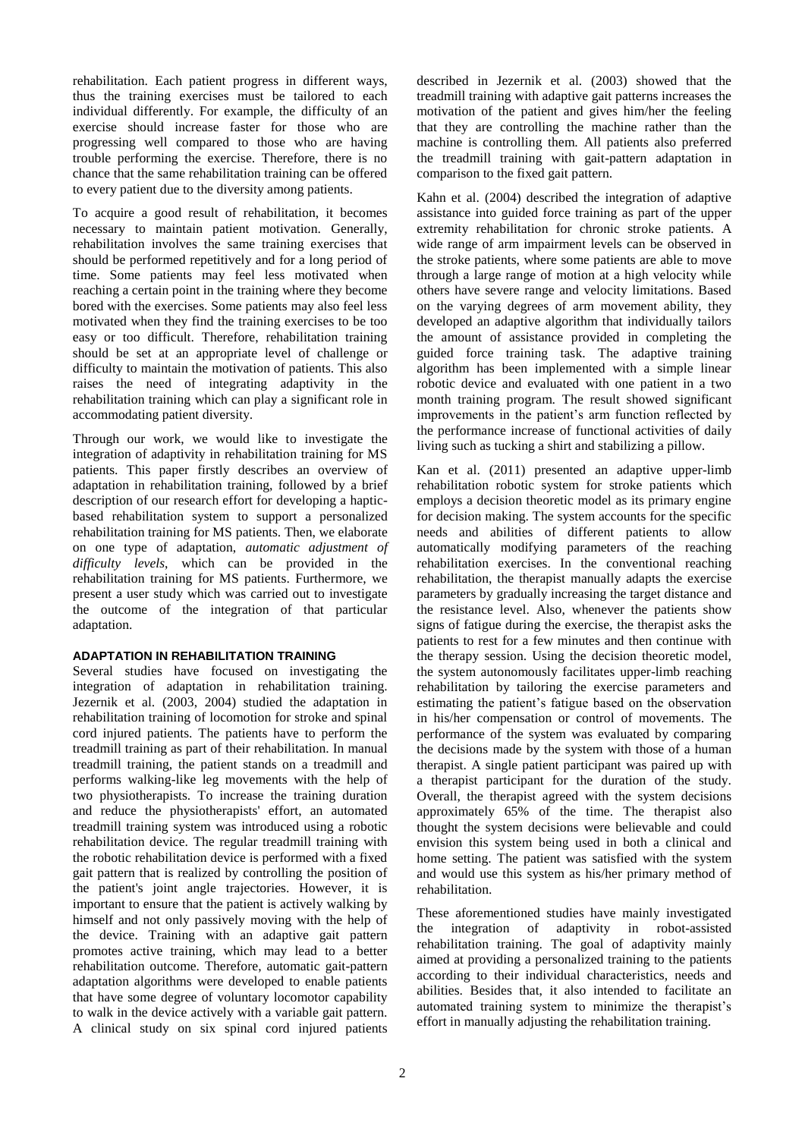rehabilitation. Each patient progress in different ways, thus the training exercises must be tailored to each individual differently. For example, the difficulty of an exercise should increase faster for those who are progressing well compared to those who are having trouble performing the exercise. Therefore, there is no chance that the same rehabilitation training can be offered to every patient due to the diversity among patients.

To acquire a good result of rehabilitation, it becomes necessary to maintain patient motivation. Generally, rehabilitation involves the same training exercises that should be performed repetitively and for a long period of time. Some patients may feel less motivated when reaching a certain point in the training where they become bored with the exercises. Some patients may also feel less motivated when they find the training exercises to be too easy or too difficult. Therefore, rehabilitation training should be set at an appropriate level of challenge or difficulty to maintain the motivation of patients. This also raises the need of integrating adaptivity in the rehabilitation training which can play a significant role in accommodating patient diversity.

Through our work, we would like to investigate the integration of adaptivity in rehabilitation training for MS patients. This paper firstly describes an overview of adaptation in rehabilitation training, followed by a brief description of our research effort for developing a hapticbased rehabilitation system to support a personalized rehabilitation training for MS patients. Then, we elaborate on one type of adaptation, *automatic adjustment of difficulty levels*, which can be provided in the rehabilitation training for MS patients. Furthermore, we present a user study which was carried out to investigate the outcome of the integration of that particular adaptation.

# **ADAPTATION IN REHABILITATION TRAINING**

Several studies have focused on investigating the integration of adaptation in rehabilitation training. Jezernik et al. (2003, 2004) studied the adaptation in rehabilitation training of locomotion for stroke and spinal cord injured patients. The patients have to perform the treadmill training as part of their rehabilitation. In manual treadmill training, the patient stands on a treadmill and performs walking-like leg movements with the help of two physiotherapists. To increase the training duration and reduce the physiotherapists' effort, an automated treadmill training system was introduced using a robotic rehabilitation device. The regular treadmill training with the robotic rehabilitation device is performed with a fixed gait pattern that is realized by controlling the position of the patient's joint angle trajectories. However, it is important to ensure that the patient is actively walking by himself and not only passively moving with the help of the device. Training with an adaptive gait pattern promotes active training, which may lead to a better rehabilitation outcome. Therefore, automatic gait-pattern adaptation algorithms were developed to enable patients that have some degree of voluntary locomotor capability to walk in the device actively with a variable gait pattern. A clinical study on six spinal cord injured patients

described in Jezernik et al. (2003) showed that the treadmill training with adaptive gait patterns increases the motivation of the patient and gives him/her the feeling that they are controlling the machine rather than the machine is controlling them. All patients also preferred the treadmill training with gait-pattern adaptation in comparison to the fixed gait pattern.

Kahn et al. (2004) described the integration of adaptive assistance into guided force training as part of the upper extremity rehabilitation for chronic stroke patients. A wide range of arm impairment levels can be observed in the stroke patients, where some patients are able to move through a large range of motion at a high velocity while others have severe range and velocity limitations. Based on the varying degrees of arm movement ability, they developed an adaptive algorithm that individually tailors the amount of assistance provided in completing the guided force training task. The adaptive training algorithm has been implemented with a simple linear robotic device and evaluated with one patient in a two month training program. The result showed significant improvements in the patient's arm function reflected by the performance increase of functional activities of daily living such as tucking a shirt and stabilizing a pillow.

Kan et al. (2011) presented an adaptive upper-limb rehabilitation robotic system for stroke patients which employs a decision theoretic model as its primary engine for decision making. The system accounts for the specific needs and abilities of different patients to allow automatically modifying parameters of the reaching rehabilitation exercises. In the conventional reaching rehabilitation, the therapist manually adapts the exercise parameters by gradually increasing the target distance and the resistance level. Also, whenever the patients show signs of fatigue during the exercise, the therapist asks the patients to rest for a few minutes and then continue with the therapy session. Using the decision theoretic model, the system autonomously facilitates upper-limb reaching rehabilitation by tailoring the exercise parameters and estimating the patient's fatigue based on the observation in his/her compensation or control of movements. The performance of the system was evaluated by comparing the decisions made by the system with those of a human therapist. A single patient participant was paired up with a therapist participant for the duration of the study. Overall, the therapist agreed with the system decisions approximately 65% of the time. The therapist also thought the system decisions were believable and could envision this system being used in both a clinical and home setting. The patient was satisfied with the system and would use this system as his/her primary method of rehabilitation.

These aforementioned studies have mainly investigated the integration of adaptivity in robot-assisted rehabilitation training. The goal of adaptivity mainly aimed at providing a personalized training to the patients according to their individual characteristics, needs and abilities. Besides that, it also intended to facilitate an automated training system to minimize the therapist's effort in manually adjusting the rehabilitation training.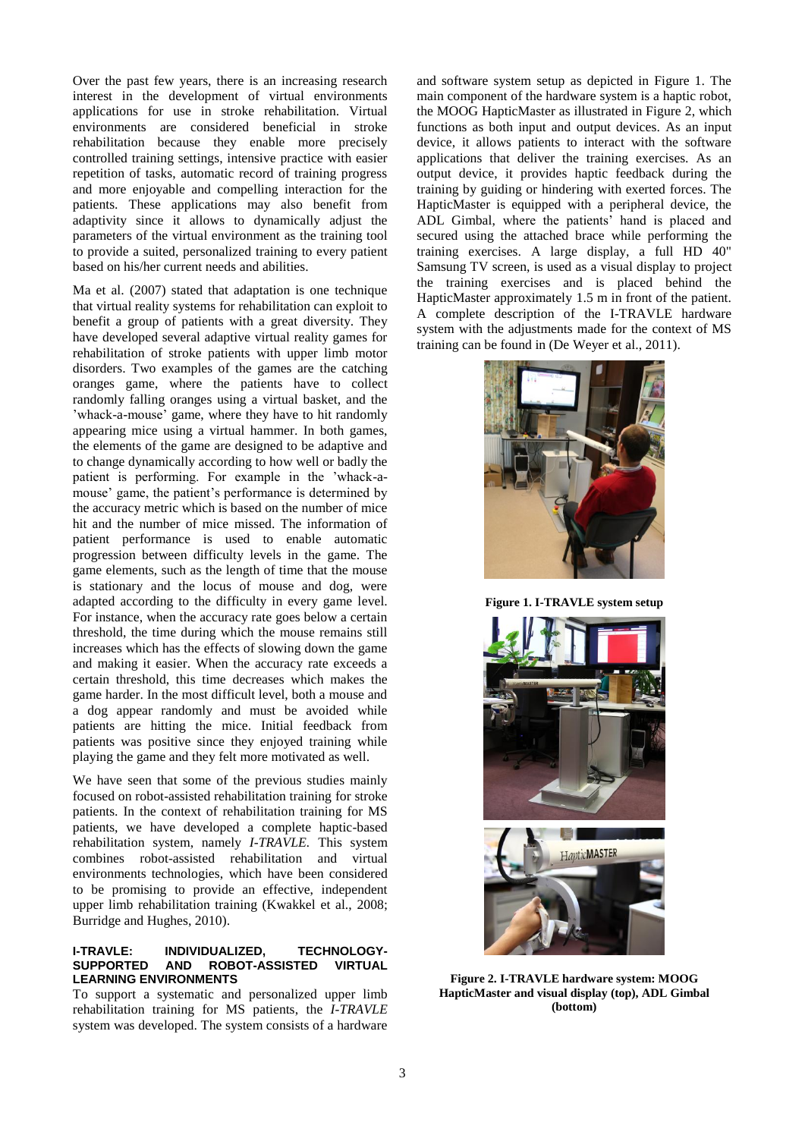Over the past few years, there is an increasing research interest in the development of virtual environments applications for use in stroke rehabilitation. Virtual environments are considered beneficial in stroke rehabilitation because they enable more precisely controlled training settings, intensive practice with easier repetition of tasks, automatic record of training progress and more enjoyable and compelling interaction for the patients. These applications may also benefit from adaptivity since it allows to dynamically adjust the parameters of the virtual environment as the training tool to provide a suited, personalized training to every patient based on his/her current needs and abilities.

Ma et al. (2007) stated that adaptation is one technique that virtual reality systems for rehabilitation can exploit to benefit a group of patients with a great diversity. They have developed several adaptive virtual reality games for rehabilitation of stroke patients with upper limb motor disorders. Two examples of the games are the catching oranges game, where the patients have to collect randomly falling oranges using a virtual basket, and the 'whack-a-mouse' game, where they have to hit randomly appearing mice using a virtual hammer. In both games, the elements of the game are designed to be adaptive and to change dynamically according to how well or badly the patient is performing. For example in the 'whack-amouse' game, the patient's performance is determined by the accuracy metric which is based on the number of mice hit and the number of mice missed. The information of patient performance is used to enable automatic progression between difficulty levels in the game. The game elements, such as the length of time that the mouse is stationary and the locus of mouse and dog, were adapted according to the difficulty in every game level. For instance, when the accuracy rate goes below a certain threshold, the time during which the mouse remains still increases which has the effects of slowing down the game and making it easier. When the accuracy rate exceeds a certain threshold, this time decreases which makes the game harder. In the most difficult level, both a mouse and a dog appear randomly and must be avoided while patients are hitting the mice. Initial feedback from patients was positive since they enjoyed training while playing the game and they felt more motivated as well.

We have seen that some of the previous studies mainly focused on robot-assisted rehabilitation training for stroke patients. In the context of rehabilitation training for MS patients, we have developed a complete haptic-based rehabilitation system, namely *I-TRAVLE.* This system combines robot-assisted rehabilitation and virtual environments technologies, which have been considered to be promising to provide an effective, independent upper limb rehabilitation training (Kwakkel et al., 2008; Burridge and Hughes, 2010).

#### **I-TRAVLE: INDIVIDUALIZED, TECHNOLOGY-SUPPORTED AND ROBOT-ASSISTED VIRTUAL LEARNING ENVIRONMENTS**

To support a systematic and personalized upper limb rehabilitation training for MS patients, the *I-TRAVLE* system was developed. The system consists of a hardware and software system setup as depicted in Figure 1. The main component of the hardware system is a haptic robot, the MOOG HapticMaster as illustrated in Figure 2, which functions as both input and output devices. As an input device, it allows patients to interact with the software applications that deliver the training exercises. As an output device, it provides haptic feedback during the training by guiding or hindering with exerted forces. The HapticMaster is equipped with a peripheral device, the ADL Gimbal, where the patients' hand is placed and secured using the attached brace while performing the training exercises. A large display, a full HD 40" Samsung TV screen, is used as a visual display to project the training exercises and is placed behind the HapticMaster approximately 1.5 m in front of the patient. A complete description of the I-TRAVLE hardware system with the adjustments made for the context of MS training can be found in (De Weyer et al., 2011).



**Figure 1. I-TRAVLE system setup**



**Figure 2. I-TRAVLE hardware system: MOOG HapticMaster and visual display (top), ADL Gimbal (bottom)**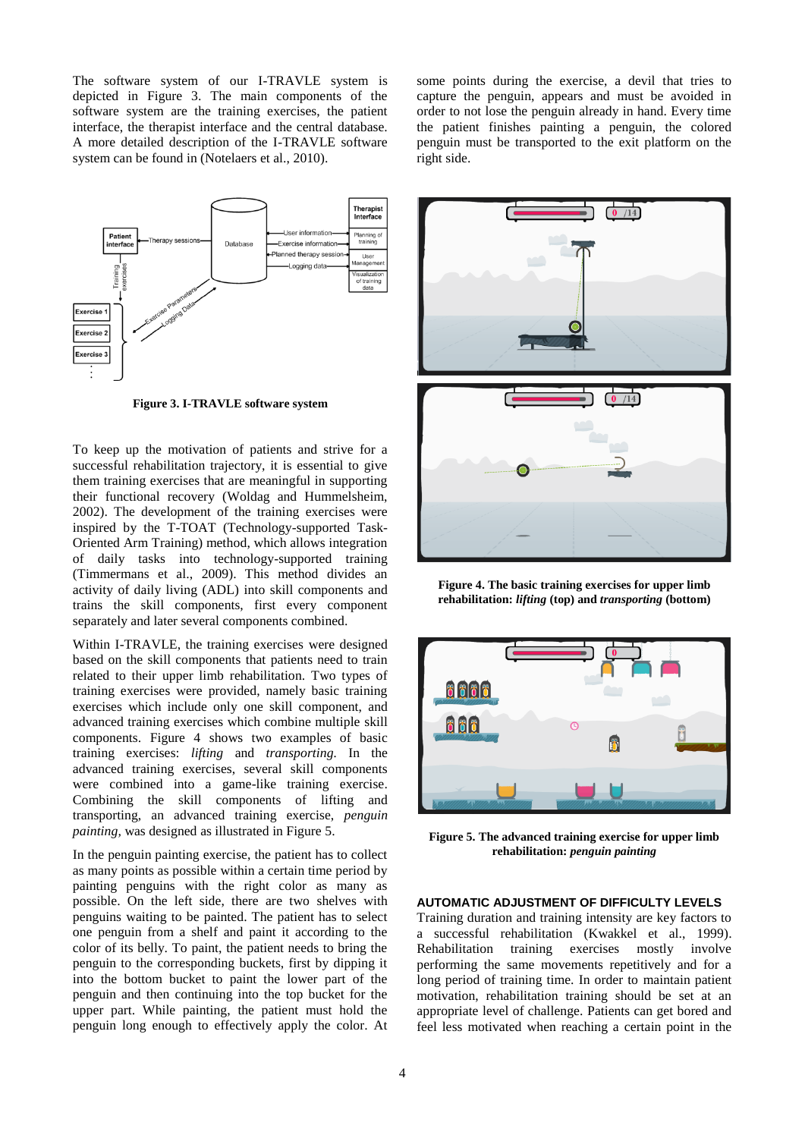The software system of our I-TRAVLE system is depicted in Figure 3. The main components of the software system are the training exercises, the patient interface, the therapist interface and the central database. A more detailed description of the I-TRAVLE software system can be found in (Notelaers et al., 2010).



**Figure 3. I-TRAVLE software system**

To keep up the motivation of patients and strive for a successful rehabilitation trajectory, it is essential to give them training exercises that are meaningful in supporting their functional recovery (Woldag and Hummelsheim, 2002). The development of the training exercises were inspired by the T-TOAT (Technology-supported Task-Oriented Arm Training) method, which allows integration of daily tasks into technology-supported training (Timmermans et al., 2009). This method divides an activity of daily living (ADL) into skill components and trains the skill components, first every component separately and later several components combined.

Within I-TRAVLE, the training exercises were designed based on the skill components that patients need to train related to their upper limb rehabilitation. Two types of training exercises were provided, namely basic training exercises which include only one skill component, and advanced training exercises which combine multiple skill components. Figure 4 shows two examples of basic training exercises: *lifting* and *transporting.* In the advanced training exercises, several skill components were combined into a game-like training exercise. Combining the skill components of lifting and transporting, an advanced training exercise, *penguin painting,* was designed as illustrated in Figure 5.

In the penguin painting exercise, the patient has to collect as many points as possible within a certain time period by painting penguins with the right color as many as possible. On the left side, there are two shelves with penguins waiting to be painted. The patient has to select one penguin from a shelf and paint it according to the color of its belly. To paint, the patient needs to bring the penguin to the corresponding buckets, first by dipping it into the bottom bucket to paint the lower part of the penguin and then continuing into the top bucket for the upper part. While painting, the patient must hold the penguin long enough to effectively apply the color. At

some points during the exercise, a devil that tries to capture the penguin, appears and must be avoided in order to not lose the penguin already in hand. Every time the patient finishes painting a penguin, the colored penguin must be transported to the exit platform on the right side.



**Figure 4. The basic training exercises for upper limb rehabilitation:** *lifting* **(top) and** *transporting* **(bottom)**



**Figure 5. The advanced training exercise for upper limb rehabilitation:** *penguin painting*

# **AUTOMATIC ADJUSTMENT OF DIFFICULTY LEVELS**

Training duration and training intensity are key factors to a successful rehabilitation (Kwakkel et al., 1999). Rehabilitation training exercises mostly involve performing the same movements repetitively and for a long period of training time. In order to maintain patient motivation, rehabilitation training should be set at an appropriate level of challenge. Patients can get bored and feel less motivated when reaching a certain point in the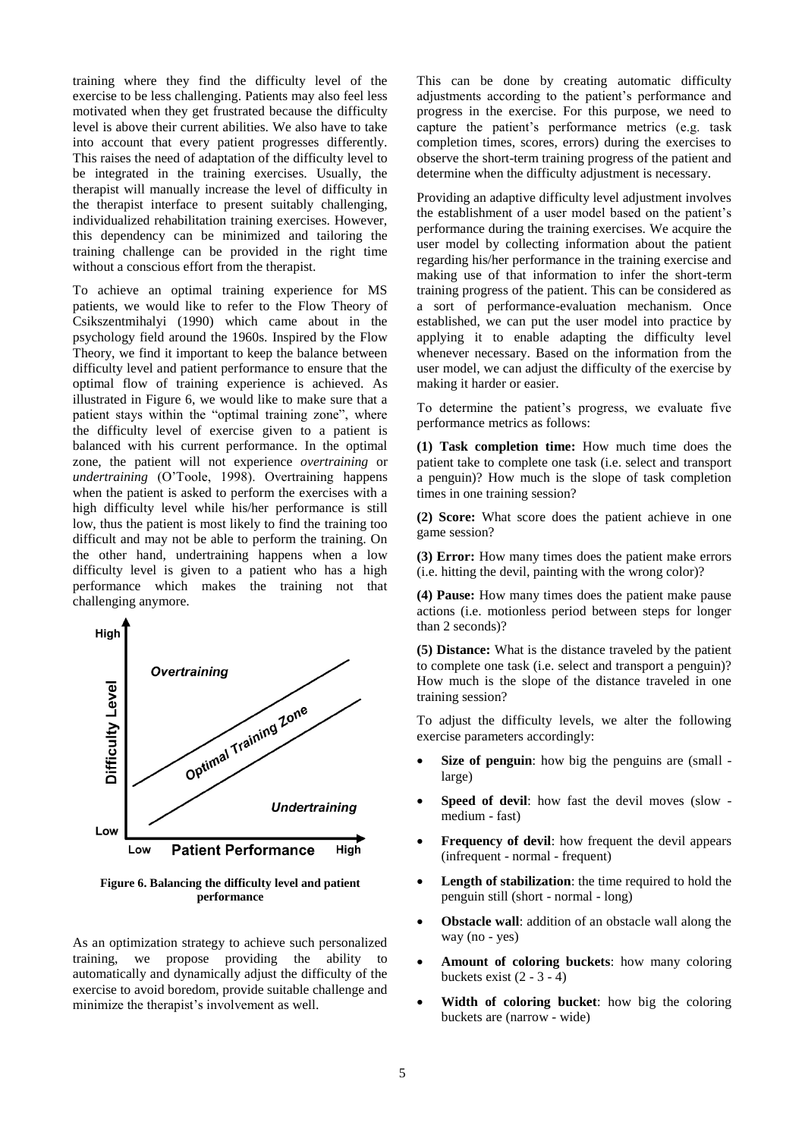training where they find the difficulty level of the exercise to be less challenging. Patients may also feel less motivated when they get frustrated because the difficulty level is above their current abilities. We also have to take into account that every patient progresses differently. This raises the need of adaptation of the difficulty level to be integrated in the training exercises. Usually, the therapist will manually increase the level of difficulty in the therapist interface to present suitably challenging, individualized rehabilitation training exercises. However, this dependency can be minimized and tailoring the training challenge can be provided in the right time without a conscious effort from the therapist.

To achieve an optimal training experience for MS patients, we would like to refer to the Flow Theory of Csikszentmihalyi (1990) which came about in the psychology field around the 1960s. Inspired by the Flow Theory, we find it important to keep the balance between difficulty level and patient performance to ensure that the optimal flow of training experience is achieved. As illustrated in Figure 6, we would like to make sure that a patient stays within the "optimal training zone", where the difficulty level of exercise given to a patient is balanced with his current performance. In the optimal zone, the patient will not experience *overtraining* or *undertraining* (O'Toole, 1998). Overtraining happens when the patient is asked to perform the exercises with a high difficulty level while his/her performance is still low, thus the patient is most likely to find the training too difficult and may not be able to perform the training. On the other hand, undertraining happens when a low difficulty level is given to a patient who has a high performance which makes the training not that challenging anymore.



**Figure 6. Balancing the difficulty level and patient performance**

As an optimization strategy to achieve such personalized training, we propose providing the ability to automatically and dynamically adjust the difficulty of the exercise to avoid boredom, provide suitable challenge and minimize the therapist's involvement as well.

This can be done by creating automatic difficulty adjustments according to the patient's performance and progress in the exercise. For this purpose, we need to capture the patient's performance metrics (e.g. task completion times, scores, errors) during the exercises to observe the short-term training progress of the patient and determine when the difficulty adjustment is necessary.

Providing an adaptive difficulty level adjustment involves the establishment of a user model based on the patient's performance during the training exercises. We acquire the user model by collecting information about the patient regarding his/her performance in the training exercise and making use of that information to infer the short-term training progress of the patient. This can be considered as a sort of performance-evaluation mechanism. Once established, we can put the user model into practice by applying it to enable adapting the difficulty level whenever necessary. Based on the information from the user model, we can adjust the difficulty of the exercise by making it harder or easier.

To determine the patient's progress, we evaluate five performance metrics as follows:

**(1) Task completion time:** How much time does the patient take to complete one task (i.e. select and transport a penguin)? How much is the slope of task completion times in one training session?

**(2) Score:** What score does the patient achieve in one game session?

**(3) Error:** How many times does the patient make errors (i.e. hitting the devil, painting with the wrong color)?

**(4) Pause:** How many times does the patient make pause actions (i.e. motionless period between steps for longer than 2 seconds)?

**(5) Distance:** What is the distance traveled by the patient to complete one task (i.e. select and transport a penguin)? How much is the slope of the distance traveled in one training session?

To adjust the difficulty levels, we alter the following exercise parameters accordingly:

- **Size of penguin**: how big the penguins are (small large)
- **Speed of devil**: how fast the devil moves (slow medium - fast)
- **Frequency of devil**: how frequent the devil appears (infrequent - normal - frequent)
- **Length of stabilization**: the time required to hold the penguin still (short - normal - long)
- **Obstacle wall**: addition of an obstacle wall along the way (no - yes)
- **Amount of coloring buckets**: how many coloring buckets exist  $(2 - 3 - 4)$
- **Width of coloring bucket**: how big the coloring buckets are (narrow - wide)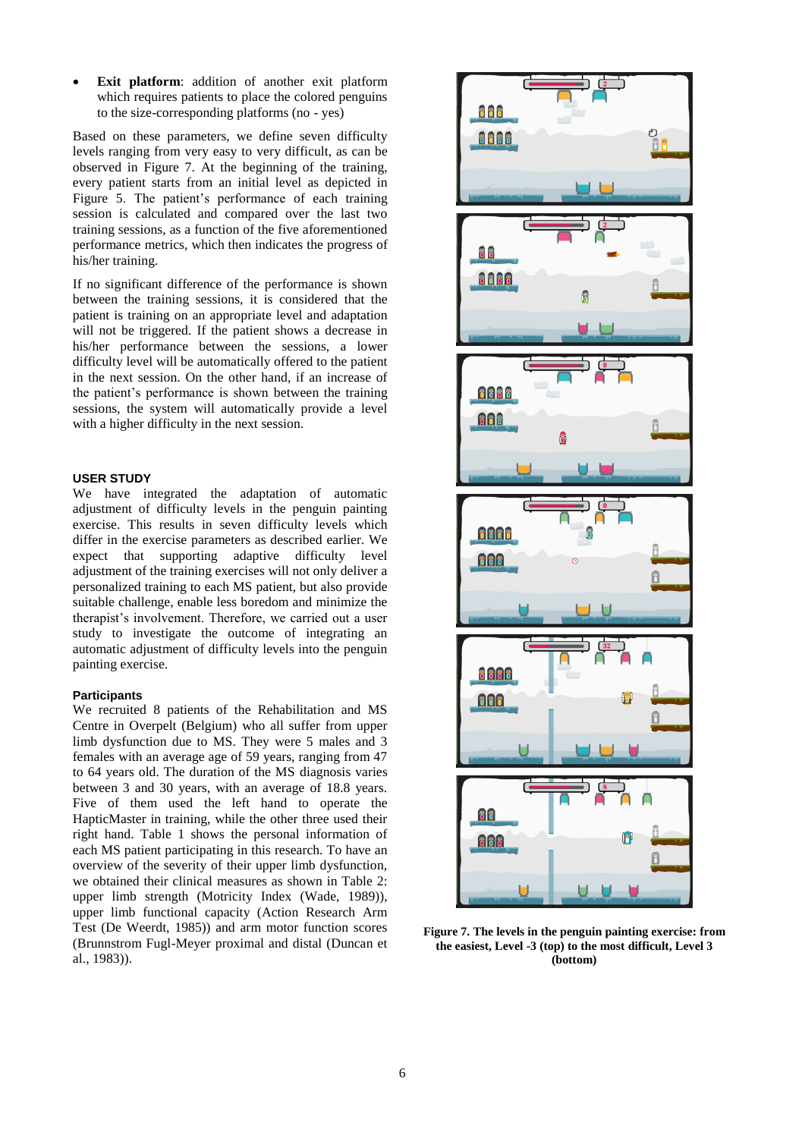**Exit platform**: addition of another exit platform which requires patients to place the colored penguins to the size-corresponding platforms (no - yes)

Based on these parameters, we define seven difficulty levels ranging from very easy to very difficult, as can be observed in Figure 7. At the beginning of the training, every patient starts from an initial level as depicted in Figure 5. The patient's performance of each training session is calculated and compared over the last two training sessions, as a function of the five aforementioned performance metrics, which then indicates the progress of his/her training.

If no significant difference of the performance is shown between the training sessions, it is considered that the patient is training on an appropriate level and adaptation will not be triggered. If the patient shows a decrease in his/her performance between the sessions, a lower difficulty level will be automatically offered to the patient in the next session. On the other hand, if an increase of the patient's performance is shown between the training sessions, the system will automatically provide a level with a higher difficulty in the next session.

#### **USER STUDY**

We have integrated the adaptation of automatic adjustment of difficulty levels in the penguin painting exercise. This results in seven difficulty levels which differ in the exercise parameters as described earlier. We expect that supporting adaptive difficulty level adjustment of the training exercises will not only deliver a personalized training to each MS patient, but also provide suitable challenge, enable less boredom and minimize the therapist's involvement. Therefore, we carried out a user study to investigate the outcome of integrating an automatic adjustment of difficulty levels into the penguin painting exercise.

#### **Participants**

We recruited 8 patients of the Rehabilitation and MS Centre in Overpelt (Belgium) who all suffer from upper limb dysfunction due to MS. They were 5 males and 3 females with an average age of 59 years, ranging from 47 to 64 years old. The duration of the MS diagnosis varies between 3 and 30 years, with an average of 18.8 years. Five of them used the left hand to operate the HapticMaster in training, while the other three used their right hand. Table 1 shows the personal information of each MS patient participating in this research. To have an overview of the severity of their upper limb dysfunction, we obtained their clinical measures as shown in Table 2: upper limb strength (Motricity Index (Wade, 1989)), upper limb functional capacity (Action Research Arm Test (De Weerdt, 1985)) and arm motor function scores (Brunnstrom Fugl-Meyer proximal and distal (Duncan et al., 1983)).



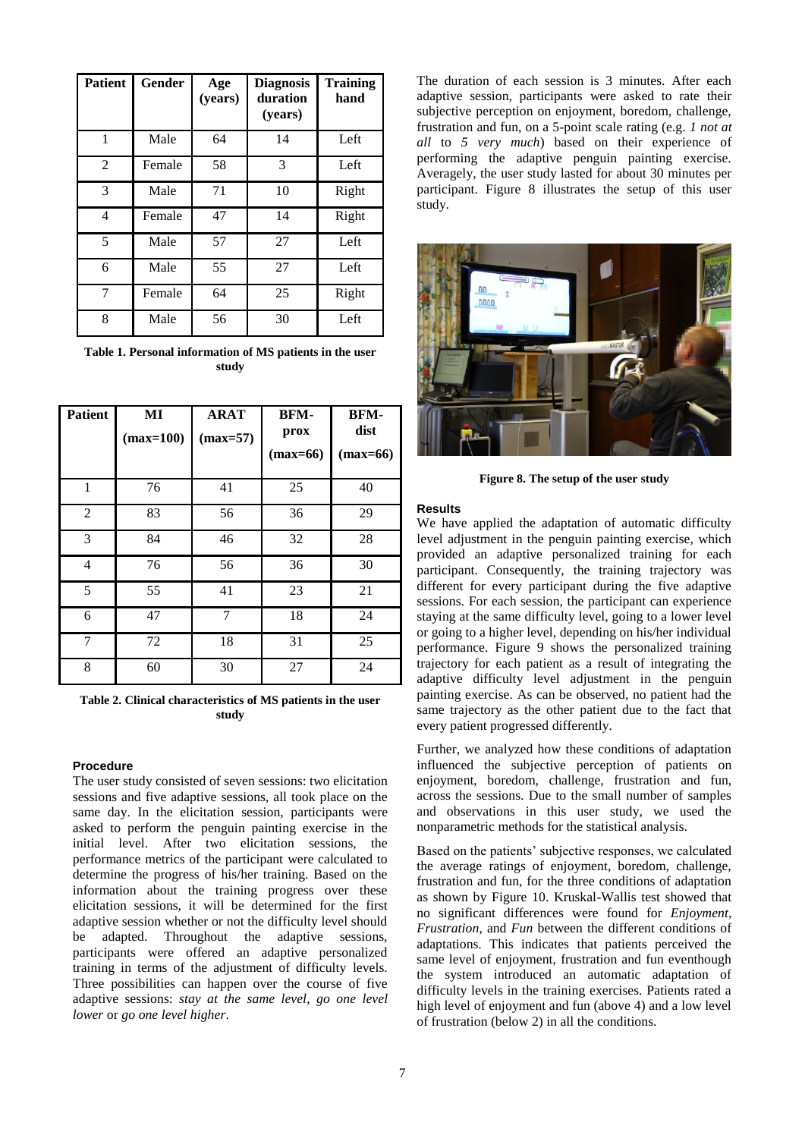| <b>Patient</b> | Gender | Age<br>(years) | <b>Diagnosis</b><br>duration<br>(years) | <b>Training</b><br>hand |
|----------------|--------|----------------|-----------------------------------------|-------------------------|
| 1              | Male   | 64             | 14                                      | Left                    |
| $\mathfrak{D}$ | Female | 58             | 3                                       | Left                    |
| 3              | Male   | 71             | 10                                      | Right                   |
| 4              | Female | 47             | 14                                      | Right                   |
| 5              | Male   | 57             | 27                                      | Left                    |
| 6              | Male   | 55             | 27                                      | Left                    |
| 7              | Female | 64             | 25                                      | Right                   |
| 8              | Male   | 56             | 30                                      | Left                    |

**Table 1. Personal information of MS patients in the user study**

| <b>Patient</b> | MI<br>$(max=100)$ | <b>ARAT</b><br>$(max=57)$ | BFM-<br>prox | BFM-<br>dist |
|----------------|-------------------|---------------------------|--------------|--------------|
|                |                   |                           | $(max=66)$   | $(max=66)$   |
| $\mathbf{1}$   | 76                | 41                        | 25           | 40           |
| $\overline{2}$ | 83                | 56                        | 36           | 29           |
| 3              | 84                | 46                        | 32           | 28           |
| 4              | 76                | 56                        | 36           | 30           |
| 5              | 55                | 41                        | 23           | 21           |
| 6              | 47                | 7                         | 18           | 24           |
| 7              | 72                | 18                        | 31           | 25           |
| 8              | 60                | 30                        | 27           | 24           |

**Table 2. Clinical characteristics of MS patients in the user study**

# **Procedure**

The user study consisted of seven sessions: two elicitation sessions and five adaptive sessions, all took place on the same day. In the elicitation session, participants were asked to perform the penguin painting exercise in the initial level. After two elicitation sessions, the performance metrics of the participant were calculated to determine the progress of his/her training. Based on the information about the training progress over these elicitation sessions, it will be determined for the first adaptive session whether or not the difficulty level should be adapted. Throughout the adaptive sessions, participants were offered an adaptive personalized training in terms of the adjustment of difficulty levels. Three possibilities can happen over the course of five adaptive sessions: *stay at the same level*, *go one level lower* or *go one level higher*.

The duration of each session is 3 minutes. After each adaptive session, participants were asked to rate their subjective perception on enjoyment, boredom, challenge, frustration and fun, on a 5-point scale rating (e.g. *1 not at all* to *5 very much*) based on their experience of performing the adaptive penguin painting exercise. Averagely, the user study lasted for about 30 minutes per participant. Figure 8 illustrates the setup of this user study.



**Figure 8. The setup of the user study**

#### **Results**

We have applied the adaptation of automatic difficulty level adjustment in the penguin painting exercise, which provided an adaptive personalized training for each participant. Consequently, the training trajectory was different for every participant during the five adaptive sessions. For each session, the participant can experience staying at the same difficulty level, going to a lower level or going to a higher level, depending on his/her individual performance. Figure 9 shows the personalized training trajectory for each patient as a result of integrating the adaptive difficulty level adjustment in the penguin painting exercise. As can be observed, no patient had the same trajectory as the other patient due to the fact that every patient progressed differently.

Further, we analyzed how these conditions of adaptation influenced the subjective perception of patients on enjoyment, boredom, challenge, frustration and fun, across the sessions. Due to the small number of samples and observations in this user study, we used the nonparametric methods for the statistical analysis.

Based on the patients' subjective responses, we calculated the average ratings of enjoyment, boredom, challenge, frustration and fun, for the three conditions of adaptation as shown by Figure 10. Kruskal-Wallis test showed that no significant differences were found for *Enjoyment*, *Frustration*, and *Fun* between the different conditions of adaptations. This indicates that patients perceived the same level of enjoyment, frustration and fun eventhough the system introduced an automatic adaptation of difficulty levels in the training exercises. Patients rated a high level of enjoyment and fun (above 4) and a low level of frustration (below 2) in all the conditions.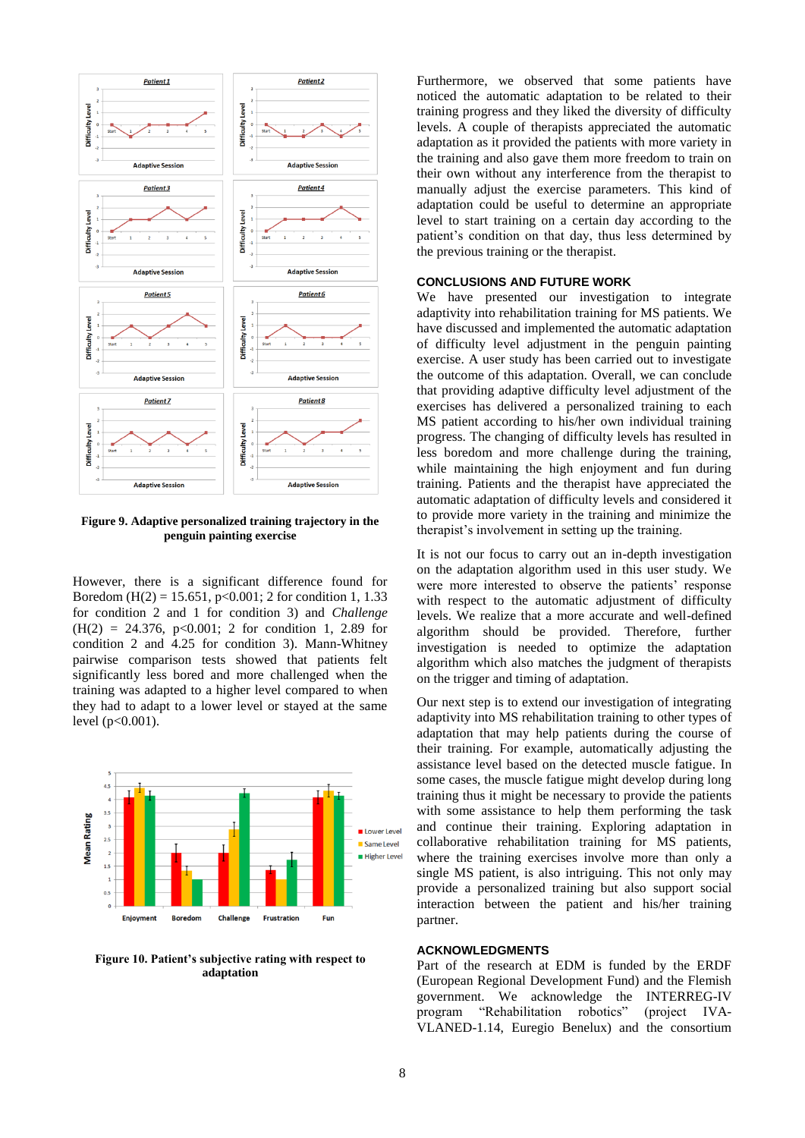

**Figure 9. Adaptive personalized training trajectory in the penguin painting exercise**

However, there is a significant difference found for Boredom (H(2) = 15.651, p<0.001; 2 for condition 1, 1.33 for condition 2 and 1 for condition 3) and *Challenge*  $(H(2) = 24.376, p<0.001; 2$  for condition 1, 2.89 for condition 2 and 4.25 for condition 3). Mann-Whitney pairwise comparison tests showed that patients felt significantly less bored and more challenged when the training was adapted to a higher level compared to when they had to adapt to a lower level or stayed at the same level (p<0.001).



**Figure 10. Patient's subjective rating with respect to adaptation**

Furthermore, we observed that some patients have noticed the automatic adaptation to be related to their training progress and they liked the diversity of difficulty levels. A couple of therapists appreciated the automatic adaptation as it provided the patients with more variety in the training and also gave them more freedom to train on their own without any interference from the therapist to manually adjust the exercise parameters. This kind of adaptation could be useful to determine an appropriate level to start training on a certain day according to the patient's condition on that day, thus less determined by the previous training or the therapist.

#### **CONCLUSIONS AND FUTURE WORK**

We have presented our investigation to integrate adaptivity into rehabilitation training for MS patients. We have discussed and implemented the automatic adaptation of difficulty level adjustment in the penguin painting exercise. A user study has been carried out to investigate the outcome of this adaptation. Overall, we can conclude that providing adaptive difficulty level adjustment of the exercises has delivered a personalized training to each MS patient according to his/her own individual training progress. The changing of difficulty levels has resulted in less boredom and more challenge during the training, while maintaining the high enjoyment and fun during training. Patients and the therapist have appreciated the automatic adaptation of difficulty levels and considered it to provide more variety in the training and minimize the therapist's involvement in setting up the training.

It is not our focus to carry out an in-depth investigation on the adaptation algorithm used in this user study. We were more interested to observe the patients' response with respect to the automatic adjustment of difficulty levels. We realize that a more accurate and well-defined algorithm should be provided. Therefore, further investigation is needed to optimize the adaptation algorithm which also matches the judgment of therapists on the trigger and timing of adaptation.

Our next step is to extend our investigation of integrating adaptivity into MS rehabilitation training to other types of adaptation that may help patients during the course of their training. For example, automatically adjusting the assistance level based on the detected muscle fatigue. In some cases, the muscle fatigue might develop during long training thus it might be necessary to provide the patients with some assistance to help them performing the task and continue their training. Exploring adaptation in collaborative rehabilitation training for MS patients, where the training exercises involve more than only a single MS patient, is also intriguing. This not only may provide a personalized training but also support social interaction between the patient and his/her training partner.

#### **ACKNOWLEDGMENTS**

Part of the research at EDM is funded by the ERDF (European Regional Development Fund) and the Flemish government. We acknowledge the INTERREG-IV program "Rehabilitation robotics" (project IVA-VLANED-1.14, Euregio Benelux) and the consortium